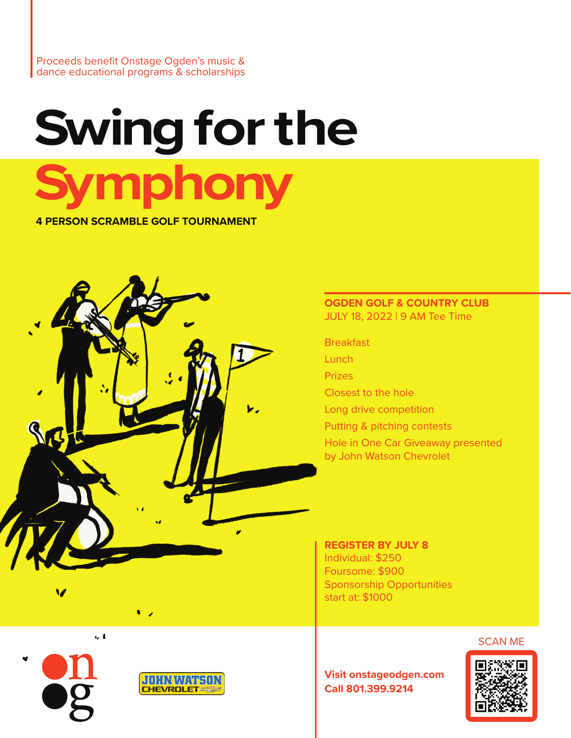Proceeds benefit Onstage Ogden's music & dance educational programs & scholarships

# **Swing for the Symphony 4 PERSON SCRAMBLE GOLF TOURNAMENT**

WC

#### **OGDEN GOLF & COUNTRY CLUB** JULY 18, 2022 | 9 AM Tee Time

**Breakfast** 

**Lunch** 

Prizes

Closest to the hole

Long drive competition

Putting & pitching contests

Hole in One Car Giveaway presented by John Watson Chevrolet

#### **REGISTER BY JULY 8** Individual: \$250 Foursome: \$900 Sponsorship Opportunities start at: \$1000

SCAN ME

**Visit onstageodgen.com Call 801.399.9214**



 $\sim 4$